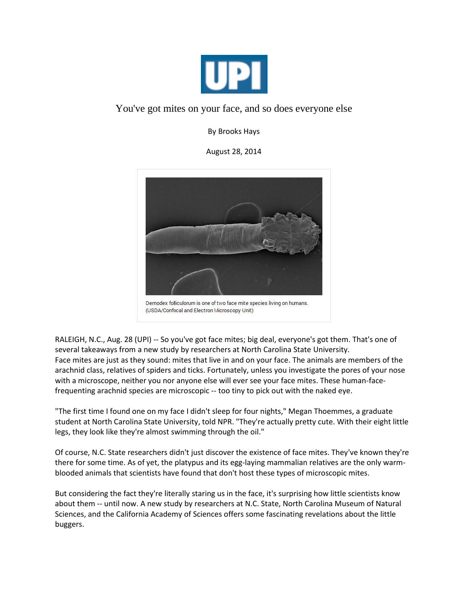

## You've got mites on your face, and so does everyone else

By Brooks Hays

August 28, 2014



RALEIGH, N.C., Aug. 28 (UPI) -- So you've got face mites; big deal, everyone's got them. That's one of several takeaways from a new study by researchers at North Carolina State University. Face mites are just as they sound: mites that live in and on your face. The animals are members of the arachnid class, relatives of spiders and ticks. Fortunately, unless you investigate the pores of your nose with a microscope, neither you nor anyone else will ever see your face mites. These human-facefrequenting arachnid species are microscopic -- too tiny to pick out with the naked eye.

"The first time I found one on my face I didn't sleep for four nights," Megan Thoemmes, a graduate student at North Carolina State University, told NPR. "They're actually pretty cute. With their eight little legs, they look like they're almost swimming through the oil."

Of course, N.C. State researchers didn't just discover the existence of face mites. They've known they're there for some time. As of yet, the platypus and its egg-laying mammalian relatives are the only warmblooded animals that scientists have found that don't host these types of microscopic mites.

But considering the fact they're literally staring us in the face, it's surprising how little scientists know about them -- until now. A new study by researchers at N.C. State, North Carolina Museum of Natural Sciences, and the California Academy of Sciences offers some fascinating revelations about the little buggers.